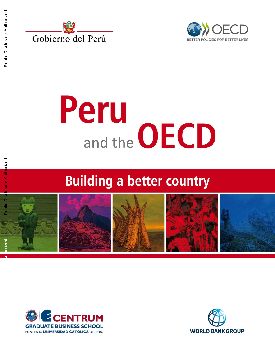





# Peru and the **OECD**

### **Building a better country**







**Public Disclosure Authorized**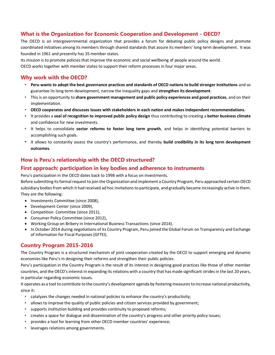#### **What is the Organization for Economic Cooperation and Development - OECD?**

The OECD is an intergovernmental organization that provides a forum for debating public policy designs and promote coordinated initiatives among its members through shared standards that assure its members' long term development. It was founded in 1961 and presently has 35 member states.

Its mission is to promote policies that improve the economic and social wellbeing of people around the world.

OECD works together with member states to support their reform processes in four major areas.

#### **Why work with the OECD?**

- **Peru wants to adopt the best governance practices and standards of OECD nations to build stronger institutions** and so guarantee its long term development, narrow the inequality gaps and **strengthen its development**.
- This is an opportunity to **share government management and public policy experiences and good practices**, and on their implementation.
- **OECD cooperates and discusses issues with stakeholders in each nation and makes independent recommendations.**
- It provides a **seal of recognition to improved public policy design** thus contributing to creating a **better business climate** and confidence for new investments.
- It helps to consolidate **sector reforms to foster long term growth**, and helps in identifying potential barriers to accomplishing such goals.
- It allows to constantly assess the country's performance, and thereby **build credibility in its long term development outcomes**.

#### **How is Peru's relationship with the OECD structured?**

#### **First approach: participation in key bodies and adherence to instruments**

Peru's participation in the OECD dates back to 1998 with a focus on investments.

Before submitting its formal request to join the Organization and implement a Country Program, Peru approached certain OECD subsidiary bodies from which it had received ad hoc invitations to participate, and gradually became increasingly active in them. They are the following:

- Investments Committee (since 2008),
- Development Center (since 2009),
- Competition Committee (since 2011),
- Consumer Policy Committee (since 2012),
- Working Group on Bribery in International Business Transactions (since 2014).
- In October 2014 during negotiations of its Country Program, Peru joined the Global Forum on Transparency and Exchange of Information for Fiscal Purposes (GFTEI).

#### **Country Program 2015-2016**

The Country Program is a structured mechanism of joint cooperation created by the OECD to support emerging and dynamic economies like Peru's in designing their reforms and strengthen their public policies.

Peru's participation in the Country Program is the result of its interest in designing good practices like those of other member countries, and the OECD's interest in expanding its relations with a country that has made significant strides in the last 20 years, in particular regarding economic issues.

It operates as a tool to contribute to the country's development agenda by fostering measures to increase national productivity, since it:

- catalyzes the changes needed in national policies to enhance the country's productivity;
- allows to improve the quality of public policies and citizen services provided by government;
- supports institution building and provides continuity to proposed reforms;
- creates a space for dialogue and dissemination of the country's progress and other priority policy issues;
- provides a tool for learning from other OECD member countries' experience;
- leverages relations among governments.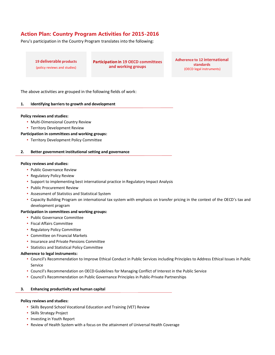#### **Action Plan: Country Program Activities for 2015-2016**

Peru's participation in the Country Program translates into the following:

**19 deliverable products**  (policy reviews and studies)

**Participation in 19 OECD committees and working groups**

**Adherence to 12 international standards** (OECD legal instruments)

The above activities are grouped in the following fields of work:

#### **1. Identifying barriers to growth and development**

#### **Policy reviews and studies:**

- Multi-Dimensional Country Review
- Territory Development Review

#### **Participation in committees and working groups:**

• Territory Development Policy Committee

#### **2. Better government institutional setting and governance**

#### **Policy reviews and studies:**

- Public Governance Review
- Regulatory Policy Review
- Support to implementing best international practice in Regulatory Impact Analysis
- Public Procurement Review
- Assessment of Statistics and Statistical System
- Capacity Building Program on international tax system with emphasis on transfer pricing in the context of the OECD's tax and development program

#### **Participation in committees and working groups:**

- Public Governance Committee
- Fiscal Affairs Committee
- Regulatory Policy Committee
- Committee on Financial Markets
- Insurance and Private Pensions Committee
- Statistics and Statistical Policy Committee

#### **Adherence to legal instruments:**

- Council's Recommendation to Improve Ethical Conduct in Public Services including Principles to Address Ethical Issues in Public Service
- Council's Recommendation on OECD Guidelines for Managing Conflict of Interest in the Public Service
- Council's Recommendation on Public Governance Principles in Public-Private Partnerships

#### **3. Enhancing productivity and human capital**

#### **Policy reviews and studies:**

- Skills Beyond School Vocational Education and Training (VET) Review
- Skills Strategy Project
- Investing in Youth Report
- Review of Health System with a focus on the attainment of Universal Health Coverage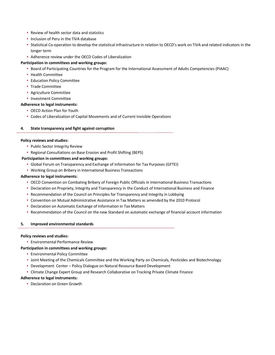- Review of health sector data and statistics
- Inclusion of Peru in the TiVA database
- Statistical Co-operation to develop the statistical infrastructure in relation to OECD's work on TiVA and related indicators in the longer term
- Adherence review under the OECD Codes of Liberalization

#### **Participation in committees and working groups:**

- Board of Participating Countries for the Program for the International Assessment of Adults Competencies (PIAAC)
- Health Committee
- Education Policy Committee
- Trade Committee
- Agriculture Committee
- Investment Committee

#### **Adherence to legal instruments:**

- OECD Action Plan for Youth
- Codes of Liberalization of Capital Movements and of Current Invisible Operations

#### **4. State transparency and fight against corruption**

#### **Policy reviews and studies:**

- Public Sector Integrity Review
- Regional Consultations on Base Erosion and Profit Shifting (BEPS)

#### **Participation in committees and working groups:**

- Global Forum on Transparency and Exchange of Information for Tax Purposes (GFTEI)
- Working Group on Bribery in International Business Transactions

#### **Adherence to legal instruments:**

- OECD Convention on Combating Bribery of Foreign Public Officials in International Business Transactions
- Declaration on Propriety, Integrity and Transparency in the Conduct of International Business and Finance
- Recommendation of the Council on Principles for Transparency and Integrity in Lobbying
- Convention on Mutual Administrative Assistance in Tax Matters as amended by the 2010 Protocol
- Declaration on Automatic Exchange of Information in Tax Matters
- Recommendation of the Council on the new Standard on automatic exchange of financial account information

#### **5. Improved environmental standards**

#### **Policy reviews and studies:**

• Environmental Performance Review

#### **Participation in committees and working groups:**

- Environmental Policy Committee
- Joint Meeting of the Chemicals Committee and the Working Party on Chemicals, Pesticides and Biotechnology
- Development Center Policy Dialogue on Natural Resource Based Development
- Climate Change Expert Group and Research Collaborative on Tracking Private Climate Finance

#### **Adherence to legal instruments:**

• Declaration on Green Growth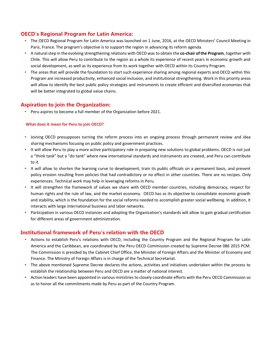#### **OECD's Regional Program for Latin America:**

- The OECD Regional Program for Latin America was launched on 1 June, 2016, at the OECD Ministers' Council Meeting in Paris, France. The program's objective is to support the region in advancing its reform agenda.
- A natural step in the evolving strengthening relations with OECD was to obtain the **co-chair of the Program**, together with Chile. This will allow Peru to contribute to the region as a whole its experience of recent years in economic growth and social development, as well as its experience from its work together with OECD within its Country Program.
- The areas that will provide the foundation to start such experience sharing among regional experts and OECD within this Program are increased productivity, enhanced social inclusion, and institutional strengthening. Work in this priority areas will allow to identify the best public policy strategies and instruments to create efficient and diversified economies that will be better integrated to global value chains.

#### **Aspiration to join the Organization:**

• Peru aspires to become a full member of the Organization before 2021.

#### **What does it mean for Peru to join OECD?**

- Joining OECD presupposes turning the reform process into an ongoing process through permanent review and idea sharing mechanisms focusing on public policy and government practices.
- It will allow Peru to play a more active participatory role in preparing new solutions to global problems. OECD is not just a "think tank" but a "do tank" where new international standards and instruments are created, and Peru can contribute to it.
- It will allow to shorten the learning curve to development, train its public officials on a permanent basis, and prevent policy erosion resulting from policies that had contradictory or no effect in other countries. There are no recipes. Only experiences. Technical work may help in leveraging reforms in Peru.
- It will strengthen the framework of values we share with OECD member countries, including democracy, respect for human rights and the rule of law, and the market economy. OECD has as its objective to consolidate economic growth and stability, which is the foundation for the social reforms needed to accomplish greater social wellbeing. In addition, it interacts with large international business and labor networks.
- Participation in various OECD instances and adopting the Organization's standards will allow to gain gradual certification for different areas of government administration.

#### **Institutional framework of Peru's relation with the OECD**

- Actions to establish Peru's relations with OECD, including the Country Program and the Regional Program for Latin America and the Caribbean, are coordinated by the Peru OECD Commission created by Supreme Decree 086 2015 PCM. The Commission is presided by the Cabinet Chief Office, the Minister of Foreign Affairs and the Minister of Economy and Finance. The Ministry of Foreign Affairs is in charge of the Technical Secretariat.
- The above mentioned Supreme Decree declares the actions, activities and initiatives undertaken within the process to establish the relationship between Peru and OECD are a matter of national interest.
- Action leaders have been appointed in various ministries to closely coordinate efforts with the Peru OECD Commission so as to honor all the commitments made by Peru as part of the Country Program.